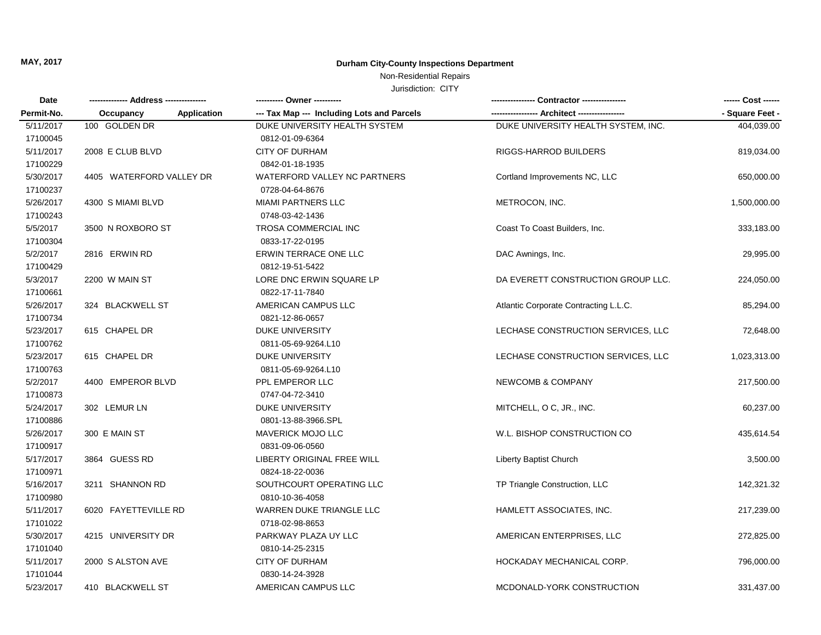#### Non-Residential Repairs

| Date       |                                 |                                            | Contractor ----------------           |                 |
|------------|---------------------------------|--------------------------------------------|---------------------------------------|-----------------|
| Permit-No. | <b>Application</b><br>Occupancy | --- Tax Map --- Including Lots and Parcels |                                       | - Square Feet - |
| 5/11/2017  | 100 GOLDEN DR                   | DUKE UNIVERSITY HEALTH SYSTEM              | DUKE UNIVERSITY HEALTH SYSTEM, INC.   | 404,039.00      |
| 17100045   |                                 | 0812-01-09-6364                            |                                       |                 |
| 5/11/2017  | 2008 E CLUB BLVD                | <b>CITY OF DURHAM</b>                      | RIGGS-HARROD BUILDERS                 | 819,034.00      |
| 17100229   |                                 | 0842-01-18-1935                            |                                       |                 |
| 5/30/2017  | 4405 WATERFORD VALLEY DR        | WATERFORD VALLEY NC PARTNERS               | Cortland Improvements NC, LLC         | 650,000.00      |
| 17100237   |                                 | 0728-04-64-8676                            |                                       |                 |
| 5/26/2017  | 4300 S MIAMI BLVD               | <b>MIAMI PARTNERS LLC</b>                  | METROCON, INC.                        | 1,500,000.00    |
| 17100243   |                                 | 0748-03-42-1436                            |                                       |                 |
| 5/5/2017   | 3500 N ROXBORO ST               | TROSA COMMERCIAL INC                       | Coast To Coast Builders, Inc.         | 333,183.00      |
| 17100304   |                                 | 0833-17-22-0195                            |                                       |                 |
| 5/2/2017   | 2816 ERWIN RD                   | ERWIN TERRACE ONE LLC                      | DAC Awnings, Inc.                     | 29,995.00       |
| 17100429   |                                 | 0812-19-51-5422                            |                                       |                 |
| 5/3/2017   | 2200 W MAIN ST                  | LORE DNC ERWIN SQUARE LP                   | DA EVERETT CONSTRUCTION GROUP LLC.    | 224,050.00      |
| 17100661   |                                 | 0822-17-11-7840                            |                                       |                 |
| 5/26/2017  | 324 BLACKWELL ST                | AMERICAN CAMPUS LLC                        | Atlantic Corporate Contracting L.L.C. | 85,294.00       |
| 17100734   |                                 | 0821-12-86-0657                            |                                       |                 |
| 5/23/2017  | 615 CHAPEL DR                   | <b>DUKE UNIVERSITY</b>                     | LECHASE CONSTRUCTION SERVICES, LLC    | 72,648.00       |
| 17100762   |                                 | 0811-05-69-9264.L10                        |                                       |                 |
| 5/23/2017  | 615 CHAPEL DR                   | <b>DUKE UNIVERSITY</b>                     | LECHASE CONSTRUCTION SERVICES, LLC    | 1,023,313.00    |
| 17100763   |                                 | 0811-05-69-9264.L10                        |                                       |                 |
| 5/2/2017   | 4400 EMPEROR BLVD               | PPL EMPEROR LLC                            | <b>NEWCOMB &amp; COMPANY</b>          | 217,500.00      |
| 17100873   |                                 | 0747-04-72-3410                            |                                       |                 |
| 5/24/2017  | 302 LEMURLN                     | <b>DUKE UNIVERSITY</b>                     | MITCHELL, O C, JR., INC.              | 60,237.00       |
| 17100886   |                                 | 0801-13-88-3966.SPL                        |                                       |                 |
| 5/26/2017  | 300 E MAIN ST                   | MAVERICK MOJO LLC                          | W.L. BISHOP CONSTRUCTION CO           | 435,614.54      |
| 17100917   |                                 | 0831-09-06-0560                            |                                       |                 |
| 5/17/2017  | 3864 GUESS RD                   | LIBERTY ORIGINAL FREE WILL                 | Liberty Baptist Church                | 3,500.00        |
| 17100971   |                                 | 0824-18-22-0036                            |                                       |                 |
| 5/16/2017  | 3211 SHANNON RD                 | SOUTHCOURT OPERATING LLC                   | TP Triangle Construction, LLC         | 142,321.32      |
| 17100980   |                                 | 0810-10-36-4058                            |                                       |                 |
| 5/11/2017  | 6020 FAYETTEVILLE RD            | WARREN DUKE TRIANGLE LLC                   | HAMLETT ASSOCIATES, INC.              | 217,239.00      |
| 17101022   |                                 | 0718-02-98-8653                            |                                       |                 |
| 5/30/2017  | 4215 UNIVERSITY DR              | PARKWAY PLAZA UY LLC                       | AMERICAN ENTERPRISES, LLC             | 272,825.00      |
| 17101040   |                                 | 0810-14-25-2315                            |                                       |                 |
| 5/11/2017  | 2000 S ALSTON AVE               | <b>CITY OF DURHAM</b>                      | HOCKADAY MECHANICAL CORP.             | 796,000.00      |
| 17101044   |                                 | 0830-14-24-3928                            |                                       |                 |
| 5/23/2017  | 410 BLACKWELL ST                | AMERICAN CAMPUS LLC                        | MCDONALD-YORK CONSTRUCTION            | 331,437.00      |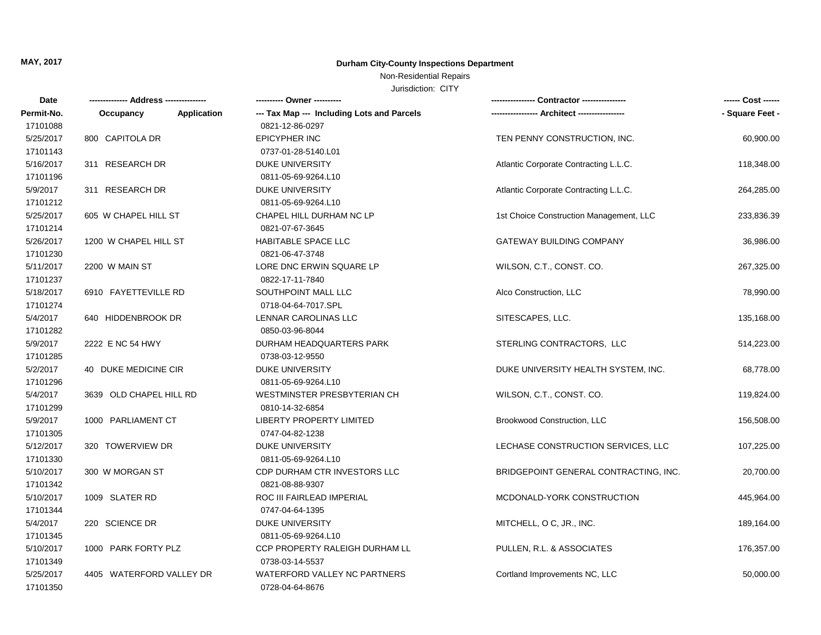Non-Residential Repairs

| Date       |                                 | ---------- Owner ----------                |                                         | ------ Cost ------ |
|------------|---------------------------------|--------------------------------------------|-----------------------------------------|--------------------|
| Permit-No. | <b>Application</b><br>Occupancy | --- Tax Map --- Including Lots and Parcels |                                         | - Square Feet -    |
| 17101088   |                                 | 0821-12-86-0297                            |                                         |                    |
| 5/25/2017  | 800 CAPITOLA DR                 | <b>EPICYPHER INC</b>                       | TEN PENNY CONSTRUCTION, INC.            | 60,900.00          |
| 17101143   |                                 | 0737-01-28-5140.L01                        |                                         |                    |
| 5/16/2017  | 311 RESEARCH DR                 | <b>DUKE UNIVERSITY</b>                     | Atlantic Corporate Contracting L.L.C.   | 118,348.00         |
| 17101196   |                                 | 0811-05-69-9264.L10                        |                                         |                    |
| 5/9/2017   | 311 RESEARCH DR                 | DUKE UNIVERSITY                            | Atlantic Corporate Contracting L.L.C.   | 264,285.00         |
| 17101212   |                                 | 0811-05-69-9264.L10                        |                                         |                    |
| 5/25/2017  | 605 W CHAPEL HILL ST            | CHAPEL HILL DURHAM NC LP                   | 1st Choice Construction Management, LLC | 233,836.39         |
| 17101214   |                                 | 0821-07-67-3645                            |                                         |                    |
| 5/26/2017  | 1200 W CHAPEL HILL ST           | HABITABLE SPACE LLC                        | GATEWAY BUILDING COMPANY                | 36,986.00          |
| 17101230   |                                 | 0821-06-47-3748                            |                                         |                    |
| 5/11/2017  | 2200 W MAIN ST                  | LORE DNC ERWIN SQUARE LP                   | WILSON, C.T., CONST. CO.                | 267,325.00         |
| 17101237   |                                 | 0822-17-11-7840                            |                                         |                    |
| 5/18/2017  | 6910 FAYETTEVILLE RD            | SOUTHPOINT MALL LLC                        | Alco Construction, LLC                  | 78,990.00          |
| 17101274   |                                 | 0718-04-64-7017.SPL                        |                                         |                    |
| 5/4/2017   | 640 HIDDENBROOK DR              | LENNAR CAROLINAS LLC                       | SITESCAPES, LLC.                        | 135,168.00         |
| 17101282   |                                 | 0850-03-96-8044                            |                                         |                    |
| 5/9/2017   | 2222 E NC 54 HWY                | DURHAM HEADQUARTERS PARK                   | STERLING CONTRACTORS, LLC               | 514,223.00         |
| 17101285   |                                 | 0738-03-12-9550                            |                                         |                    |
| 5/2/2017   | 40 DUKE MEDICINE CIR            | <b>DUKE UNIVERSITY</b>                     | DUKE UNIVERSITY HEALTH SYSTEM, INC.     | 68,778.00          |
| 17101296   |                                 | 0811-05-69-9264.L10                        |                                         |                    |
| 5/4/2017   | 3639 OLD CHAPEL HILL RD         | WESTMINSTER PRESBYTERIAN CH                | WILSON, C.T., CONST. CO.                | 119,824.00         |
| 17101299   |                                 | 0810-14-32-6854                            |                                         |                    |
| 5/9/2017   | 1000 PARLIAMENT CT              | LIBERTY PROPERTY LIMITED                   | Brookwood Construction, LLC             | 156,508.00         |
| 17101305   |                                 | 0747-04-82-1238                            |                                         |                    |
| 5/12/2017  | 320 TOWERVIEW DR                | DUKE UNIVERSITY                            | LECHASE CONSTRUCTION SERVICES, LLC      | 107,225.00         |
| 17101330   |                                 | 0811-05-69-9264.L10                        |                                         |                    |
| 5/10/2017  | 300 W MORGAN ST                 | CDP DURHAM CTR INVESTORS LLC               | BRIDGEPOINT GENERAL CONTRACTING, INC.   | 20,700.00          |
| 17101342   |                                 | 0821-08-88-9307                            |                                         |                    |
| 5/10/2017  | 1009 SLATER RD                  | ROC III FAIRLEAD IMPERIAL                  | MCDONALD-YORK CONSTRUCTION              | 445,964.00         |
| 17101344   |                                 | 0747-04-64-1395                            |                                         |                    |
| 5/4/2017   | 220 SCIENCE DR                  | <b>DUKE UNIVERSITY</b>                     | MITCHELL, O C, JR., INC.                | 189,164.00         |
| 17101345   |                                 | 0811-05-69-9264.L10                        |                                         |                    |
| 5/10/2017  | 1000 PARK FORTY PLZ             | CCP PROPERTY RALEIGH DURHAM LL             | PULLEN, R.L. & ASSOCIATES               | 176,357.00         |
| 17101349   |                                 | 0738-03-14-5537                            |                                         |                    |
| 5/25/2017  | 4405 WATERFORD VALLEY DR        | WATERFORD VALLEY NC PARTNERS               | Cortland Improvements NC, LLC           | 50,000.00          |
| 17101350   |                                 | 0728-04-64-8676                            |                                         |                    |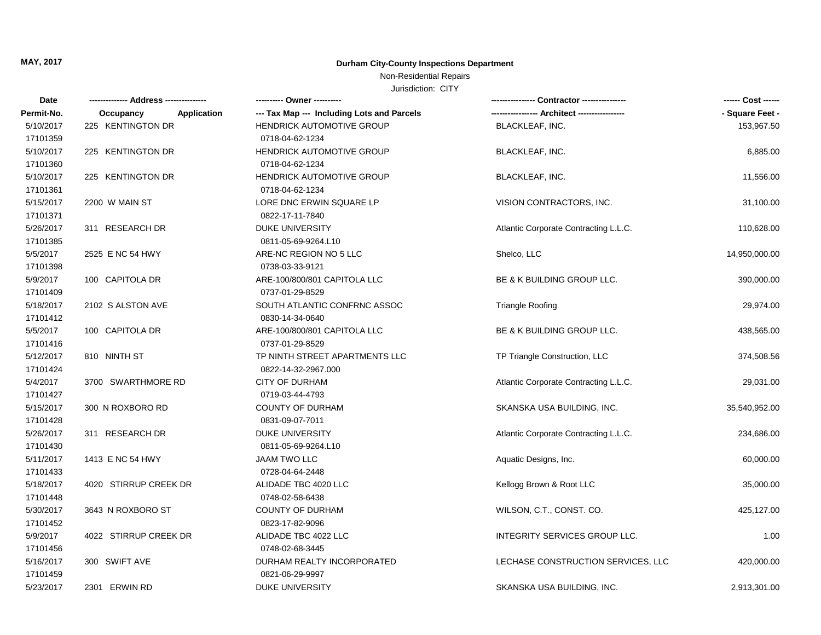### Non-Residential Repairs

| Date       |                                 |                                            |                                       | ------ Cost ------ |
|------------|---------------------------------|--------------------------------------------|---------------------------------------|--------------------|
| Permit-No. | <b>Application</b><br>Occupancy | --- Tax Map --- Including Lots and Parcels |                                       | - Square Feet -    |
| 5/10/2017  | 225 KENTINGTON DR               | <b>HENDRICK AUTOMOTIVE GROUP</b>           | <b>BLACKLEAF, INC.</b>                | 153,967.50         |
| 17101359   |                                 | 0718-04-62-1234                            |                                       |                    |
| 5/10/2017  | 225 KENTINGTON DR               | HENDRICK AUTOMOTIVE GROUP                  | <b>BLACKLEAF, INC.</b>                | 6,885.00           |
| 17101360   |                                 | 0718-04-62-1234                            |                                       |                    |
| 5/10/2017  | 225 KENTINGTON DR               | HENDRICK AUTOMOTIVE GROUP                  | <b>BLACKLEAF, INC.</b>                | 11,556.00          |
| 17101361   |                                 | 0718-04-62-1234                            |                                       |                    |
| 5/15/2017  | 2200 W MAIN ST                  | LORE DNC ERWIN SQUARE LP                   | VISION CONTRACTORS, INC.              | 31,100.00          |
| 17101371   |                                 | 0822-17-11-7840                            |                                       |                    |
| 5/26/2017  | 311 RESEARCH DR                 | <b>DUKE UNIVERSITY</b>                     | Atlantic Corporate Contracting L.L.C. | 110,628.00         |
| 17101385   |                                 | 0811-05-69-9264.L10                        |                                       |                    |
| 5/5/2017   | 2525 E NC 54 HWY                | ARE-NC REGION NO 5 LLC                     | Shelco, LLC                           | 14,950,000.00      |
| 17101398   |                                 | 0738-03-33-9121                            |                                       |                    |
| 5/9/2017   | 100 CAPITOLA DR                 | ARE-100/800/801 CAPITOLA LLC               | BE & K BUILDING GROUP LLC.            | 390,000.00         |
| 17101409   |                                 | 0737-01-29-8529                            |                                       |                    |
| 5/18/2017  | 2102 S ALSTON AVE               | SOUTH ATLANTIC CONFRNC ASSOC               | <b>Triangle Roofing</b>               | 29,974.00          |
| 17101412   |                                 | 0830-14-34-0640                            |                                       |                    |
| 5/5/2017   | 100 CAPITOLA DR                 | ARE-100/800/801 CAPITOLA LLC               | BE & K BUILDING GROUP LLC.            | 438,565.00         |
| 17101416   |                                 | 0737-01-29-8529                            |                                       |                    |
| 5/12/2017  | 810 NINTH ST                    | TP NINTH STREET APARTMENTS LLC             | TP Triangle Construction, LLC         | 374,508.56         |
| 17101424   |                                 | 0822-14-32-2967.000                        |                                       |                    |
| 5/4/2017   | 3700 SWARTHMORE RD              | <b>CITY OF DURHAM</b>                      | Atlantic Corporate Contracting L.L.C. | 29,031.00          |
| 17101427   |                                 | 0719-03-44-4793                            |                                       |                    |
| 5/15/2017  | 300 N ROXBORO RD                | <b>COUNTY OF DURHAM</b>                    | SKANSKA USA BUILDING, INC.            | 35,540,952.00      |
| 17101428   |                                 | 0831-09-07-7011                            |                                       |                    |
| 5/26/2017  | 311 RESEARCH DR                 | <b>DUKE UNIVERSITY</b>                     | Atlantic Corporate Contracting L.L.C. | 234,686.00         |
| 17101430   |                                 | 0811-05-69-9264.L10                        |                                       |                    |
| 5/11/2017  | 1413 E NC 54 HWY                | <b>JAAM TWO LLC</b>                        | Aquatic Designs, Inc.                 | 60,000.00          |
| 17101433   |                                 | 0728-04-64-2448                            |                                       |                    |
| 5/18/2017  | 4020 STIRRUP CREEK DR           | ALIDADE TBC 4020 LLC                       | Kellogg Brown & Root LLC              | 35,000.00          |
| 17101448   |                                 | 0748-02-58-6438                            |                                       |                    |
| 5/30/2017  | 3643 N ROXBORO ST               | <b>COUNTY OF DURHAM</b>                    | WILSON, C.T., CONST. CO.              | 425,127.00         |
| 17101452   |                                 | 0823-17-82-9096                            |                                       |                    |
| 5/9/2017   | 4022 STIRRUP CREEK DR           | ALIDADE TBC 4022 LLC                       | INTEGRITY SERVICES GROUP LLC.         | 1.00               |
| 17101456   |                                 | 0748-02-68-3445                            |                                       |                    |
| 5/16/2017  | 300 SWIFT AVE                   | DURHAM REALTY INCORPORATED                 | LECHASE CONSTRUCTION SERVICES, LLC    | 420,000.00         |
| 17101459   |                                 | 0821-06-29-9997                            |                                       |                    |
| 5/23/2017  | 2301 ERWIN RD                   | DUKE UNIVERSITY                            | SKANSKA USA BUILDING, INC.            | 2,913,301.00       |